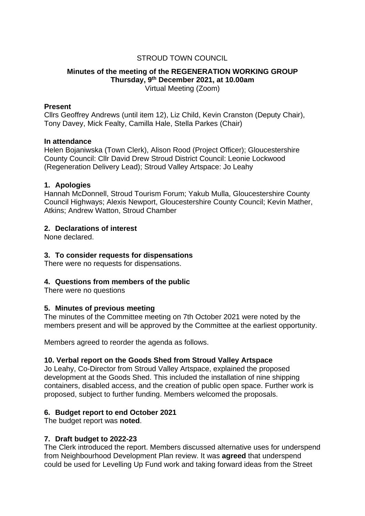## STROUD TOWN COUNCIL

#### **Minutes of the meeting of the REGENERATION WORKING GROUP Thursday, 9th December 2021, at 10.00am** Virtual Meeting (Zoom)

#### **Present**

Cllrs Geoffrey Andrews (until item 12), Liz Child, Kevin Cranston (Deputy Chair), Tony Davey, Mick Fealty, Camilla Hale, Stella Parkes (Chair)

#### **In attendance**

Helen Bojaniwska (Town Clerk), Alison Rood (Project Officer); Gloucestershire County Council: Cllr David Drew Stroud District Council: Leonie Lockwood (Regeneration Delivery Lead); Stroud Valley Artspace: Jo Leahy

#### **1. Apologies**

Hannah McDonnell, Stroud Tourism Forum; Yakub Mulla, Gloucestershire County Council Highways; Alexis Newport, Gloucestershire County Council; Kevin Mather, Atkins; Andrew Watton, Stroud Chamber

### **2. Declarations of interest**

None declared.

### **3. To consider requests for dispensations**

There were no requests for dispensations.

### **4. Questions from members of the public**

There were no questions

### **5. Minutes of previous meeting**

The minutes of the Committee meeting on 7th October 2021 were noted by the members present and will be approved by the Committee at the earliest opportunity.

Members agreed to reorder the agenda as follows.

### **10. Verbal report on the Goods Shed from Stroud Valley Artspace**

Jo Leahy, Co-Director from Stroud Valley Artspace, explained the proposed development at the Goods Shed. This included the installation of nine shipping containers, disabled access, and the creation of public open space. Further work is proposed, subject to further funding. Members welcomed the proposals.

### **6. Budget report to end October 2021**

The budget report was **noted**.

### **7. Draft budget to 2022-23**

The Clerk introduced the report. Members discussed alternative uses for underspend from Neighbourhood Development Plan review. It was **agreed** that underspend could be used for Levelling Up Fund work and taking forward ideas from the Street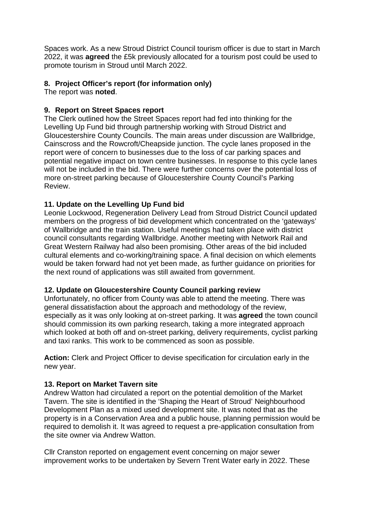Spaces work. As a new Stroud District Council tourism officer is due to start in March 2022, it was **agreed** the £5k previously allocated for a tourism post could be used to promote tourism in Stroud until March 2022.

# **8. Project Officer's report (for information only)**

The report was **noted**.

# **9. Report on Street Spaces report**

The Clerk outlined how the Street Spaces report had fed into thinking for the Levelling Up Fund bid through partnership working with Stroud District and Gloucestershire County Councils. The main areas under discussion are Wallbridge, Cainscross and the Rowcroft/Cheapside junction. The cycle lanes proposed in the report were of concern to businesses due to the loss of car parking spaces and potential negative impact on town centre businesses. In response to this cycle lanes will not be included in the bid. There were further concerns over the potential loss of more on-street parking because of Gloucestershire County Council's Parking Review.

# **11. Update on the Levelling Up Fund bid**

Leonie Lockwood, Regeneration Delivery Lead from Stroud District Council updated members on the progress of bid development which concentrated on the 'gateways' of Wallbridge and the train station. Useful meetings had taken place with district council consultants regarding Wallbridge. Another meeting with Network Rail and Great Western Railway had also been promising. Other areas of the bid included cultural elements and co-working/training space. A final decision on which elements would be taken forward had not yet been made, as further guidance on priorities for the next round of applications was still awaited from government.

## **12. Update on Gloucestershire County Council parking review**

Unfortunately, no officer from County was able to attend the meeting. There was general dissatisfaction about the approach and methodology of the review, especially as it was only looking at on-street parking. It was **agreed** the town council should commission its own parking research, taking a more integrated approach which looked at both off and on-street parking, delivery requirements, cyclist parking and taxi ranks. This work to be commenced as soon as possible.

**Action:** Clerk and Project Officer to devise specification for circulation early in the new year.

## **13. Report on Market Tavern site**

Andrew Watton had circulated a report on the potential demolition of the Market Tavern. The site is identified in the 'Shaping the Heart of Stroud' Neighbourhood Development Plan as a mixed used development site. It was noted that as the property is in a Conservation Area and a public house, planning permission would be required to demolish it. It was agreed to request a pre-application consultation from the site owner via Andrew Watton.

Cllr Cranston reported on engagement event concerning on major sewer improvement works to be undertaken by Severn Trent Water early in 2022. These